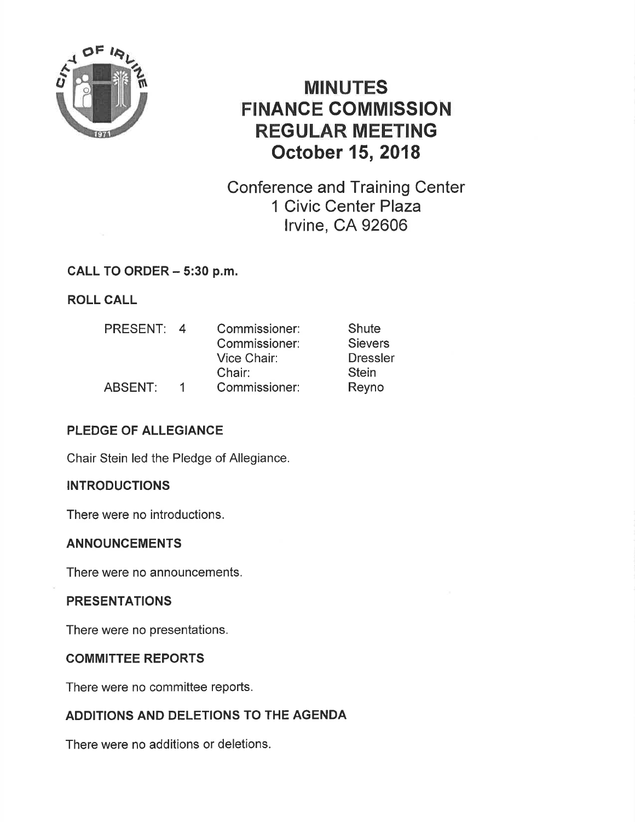

# MINUTES FINANCE GOMMISSION REGULAR MEETING October 15, 2018

Conference and Training Center 1 Civic Center Plaza lrvine, CA 92606

## CALL TO ORDER - 5:30 p.m.

# ROLL CALL

| <b>PRESENT:</b> | $\Delta$ | Commissioner: | Shute           |
|-----------------|----------|---------------|-----------------|
|                 |          | Commissioner: | <b>Sievers</b>  |
|                 |          | Vice Chair:   | <b>Dressler</b> |
|                 |          | Chair:        | <b>Stein</b>    |
| ABSENT:         |          | Commissioner: | Reyno           |

# PLEDGE OF ALLEGIANCE

Chair Stein led the Pledge of Allegiance,

## INTRODUGTIONS

There were no introductions.

## ANNOUNCEMENTS

There were no announcements.

## **PRESENTATIONS**

There were no presentations.

## COMMITTEE REPORTS

There were no committee reports.

# ADDITIONS AND DELETIONS TO THE AGENDA

There were no additions or deletions.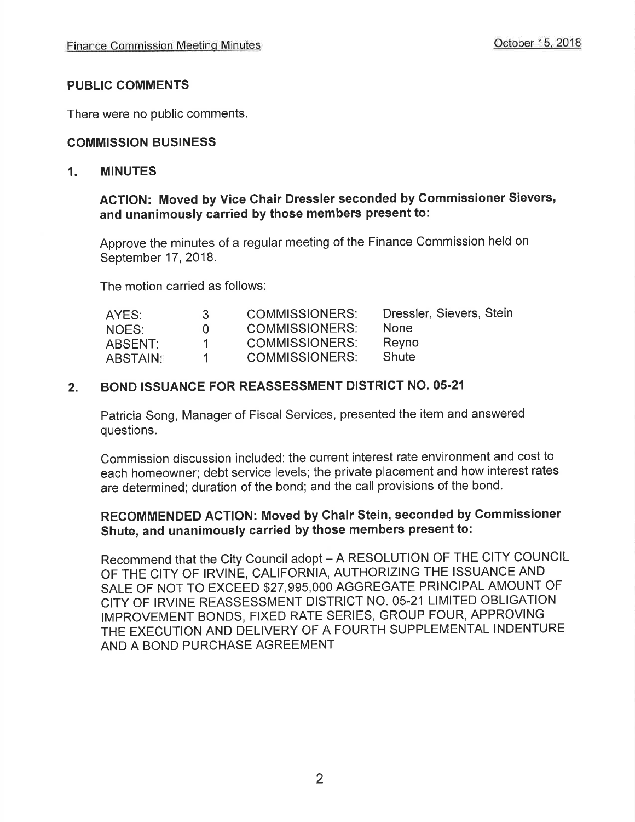#### PUBLIC COMMENTS

There were no public comments.

## COMMISSION BUSINESS

#### 1. MINUTES

#### ACTION: Moved by Vice Chair Dressler seconded by Gommissioner Sievers, and unanimously carried by those members present to:

Approve the minutes of a regular meeting of the Finance Commission held on September 17, 2018.

The motion carried as follows:

| AYES:    | -3-          | <b>COMMISSIONERS:</b> | Dressler, Sievers, Stein |
|----------|--------------|-----------------------|--------------------------|
| NOES:    | $\mathbf{u}$ | <b>COMMISSIONERS:</b> | <b>None</b>              |
| ABSENT:  | .1.          | <b>COMMISSIONERS:</b> | Reyno                    |
| ABSTAIN: | 1.           | <b>COMMISSIONERS:</b> | Shute                    |

#### 2. BOND ISSUANCE FOR REASSESSMENT DISTRICT NO. 05.21

Patricia Song, Manager of Fiscal Services, presented the item and answered questions.

Commission discussion included: the current interest rate environment and cost to each homeowner; debt service levels; the private placement and how interest rates are determined; duration of the bond; and the call provisions of the bond.

# RECOMMENDED AGTION: Moved by Chair Stein, seconded by Gommissioner Shute, and unanimously carried by those members present to:

Recommend that the City Council adopt - A RESOLUTION OF THE CITY COUNCIL OF THE CITY OF IRVINE, CALIFORNIA, AUTHORIZING THE ISSUANCE AND SALE OF NOT TO EXCEED \$27,995,000 AGGREGATE PRINCIPAL AMOUNT OF CITY OF IRVINE REASSESSMENT DISTRICT NO. 05-21 LIMITED OBLIGATION IMPROVEMENT BONDS, FIXED RATE SERIES, GROUP FOUR, APPROVING THE EXECUTION AND DELIVERY OF A FOURTH SUPPLEMENTAL INDENTURE AND A BOND PURCHASE AGREEMENT